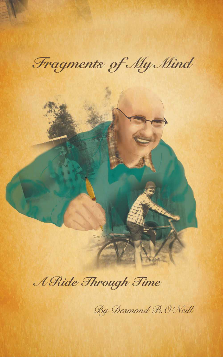Fragments of My Mind

# A Ride Through Time

By Desmond B. O'Neill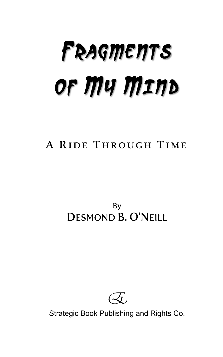# **FRAGMENTS OF MY MIND**

# **A R IDE T HROUGH T IME**

By DESMOND B. O'NEILL



Strategic Book Publishing and Rights Co.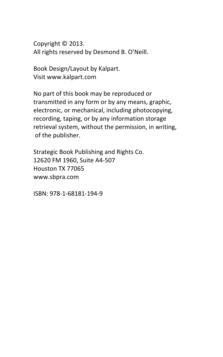Copyright © 2013. All rights reserved by Desmond B. O'Neill.

Book Design/Layout by Kalpart. Visit www.kalpart.com

No part of this book may be reproduced or transmitted in any form or by any means, graphic, electronic, or mechanical, including photocopying, recording, taping, or by any information storage retrieval system, without the permission, in writing, of the publisher.

Strategic Book Publishing and Rights Co. 12620 FM 1960, Suite A4-507 Houston TX 77065 www.sbpra.com

ISBN: 978-1-68181-194-9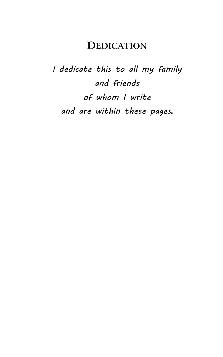## **DEDICATION**

I dedicate this to all my family and friends of whom I write and are within these pages**.**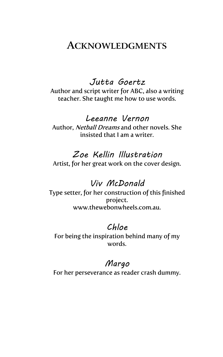### **ACKNOWLEDGMENTS**

Jutta Goertz Author and script writer for ABC, also a writing teacher. She taught me how to use words.

#### Leeanne Vernon

Author, Netball Dreams and other novels. She insisted that I am a writer.

#### Zoe Kellin Illustration

Artist, for her great work on the cover design.

#### Viv McDonald

Type setter, for her construction of this finished project. www.thewebonwheels.com.au.

#### Chloe

For being the inspiration behind many of my words.

#### Margo

For her perseverance as reader crash dummy.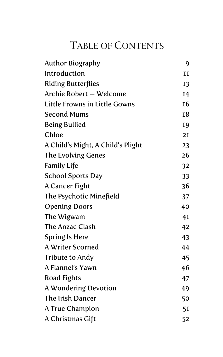# TABLE OF CONTENTS

| <b>Author Biography</b>           | 9            |
|-----------------------------------|--------------|
| Introduction                      | $\mathbf{I}$ |
| <b>Riding Butterflies</b>         | <b>I3</b>    |
| Archie Robert - Welcome           | I4           |
| Little Frowns in Little Gowns     | <b>16</b>    |
| <b>Second Mums</b>                | 18           |
| <b>Being Bullied</b>              | <b>I9</b>    |
| Chloe                             | 2I           |
| A Child's Might, A Child's Plight | 23           |
| The Evolving Genes                | 26           |
| <b>Family Life</b>                | 32           |
| <b>School Sports Day</b>          | 33           |
| A Cancer Fight                    | 36           |
| The Psychotic Minefield           | 37           |
| <b>Opening Doors</b>              | 40           |
| The Wigwam                        | 4I           |
| <b>The Anzac Clash</b>            | 42           |
| <b>Spring Is Here</b>             | 43           |
| <b>A Writer Scorned</b>           | 44           |
| <b>Tribute to Andy</b>            | 45           |
| A Flannel's Yawn                  | 46           |
| Road Fights                       | 47           |
| A Wondering Devotion              | 49           |
| The Irish Dancer                  | 50           |
| <b>A True Champion</b>            | 51           |
| A Christmas Gift                  | 52           |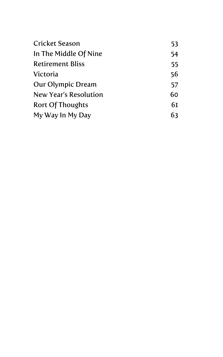| <b>Cricket Season</b>    | 53 |
|--------------------------|----|
| In The Middle Of Nine    | 54 |
| <b>Retirement Bliss</b>  | 55 |
| Victoria                 | 56 |
| <b>Our Olympic Dream</b> | 57 |
| New Year's Resolution    | 60 |
| Rort Of Thoughts         | 61 |
| My Way In My Day         | 63 |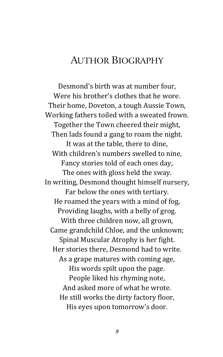# AUTHOR BIOGRAPHY

Desmond's birth was at number four, Were his brother's clothes that he wore. Their home, Doveton, a tough Aussie Town, Working fathers toiled with a sweated frown. Together the Town cheered their might, Then lads found a gang to roam the night. It was at the table, there to dine, With children's numbers swelled to nine, Fancy stories told of each ones day, The ones with gloss held the sway. In writing, Desmond thought himself nursery, Far below the ones with tertiary. He roamed the years with a mind of fog, Providing laughs, with a belly of grog. With three children now, all grown, Came grandchild Chloe, and the unknown; Spinal Muscular Atrophy is her fight. Her stories there, Desmond had to write. As a grape matures with coming age, His words spilt upon the page. People liked his rhyming note, And asked more of what he wrote. He still works the dirty factory floor, His eyes upon tomorrow's door.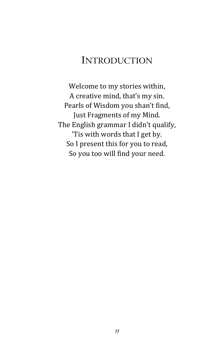# INTRODUCTION

Welcome to my stories within, A creative mind, that's my sin. Pearls of Wisdom you shan't find, Just Fragments of my Mind. The English grammar I didn't qualify, 'Tis with words that I get by. So I present this for you to read, So you too will find your need.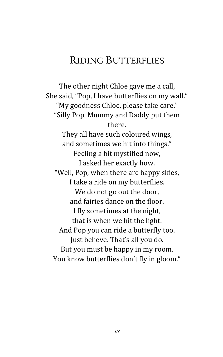# RIDING BUTTERFLIES

The other night Chloe gave me a call, She said, "Pop, I have butterflies on my wall." "My goodness Chloe, please take care." "Silly Pop, Mummy and Daddy put them there. They all have such coloured wings, and sometimes we hit into things." Feeling a bit mystified now, I asked her exactly how. "Well, Pop, when there are happy skies, I take a ride on my butterflies. We do not go out the door, and fairies dance on the floor. I fly sometimes at the night, that is when we hit the light. And Pop you can ride a butterfly too. Just believe. That's all you do. But you must be happy in my room. You know butterflies don't fly in gloom."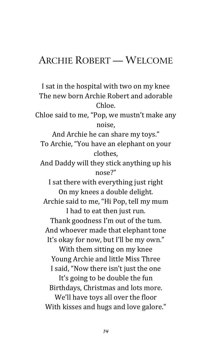## ARCHIE ROBERT — WELCOME

I sat in the hospital with two on my knee The new born Archie Robert and adorable Chloe. Chloe said to me, "Pop, we mustn't make any noise, And Archie he can share my toys." To Archie, "You have an elephant on your clothes, And Daddy will they stick anything up his nose?" I sat there with everything just right On my knees a double delight. Archie said to me, "Hi Pop, tell my mum I had to eat then just run. Thank goodness I'm out of the tum. And whoever made that elephant tone It's okay for now, but I'll be my own." With them sitting on my knee Young Archie and little Miss Three I said, "Now there isn't just the one It's going to be double the fun Birthdays, Christmas and lots more. We'll have toys all over the floor With kisses and hugs and love galore."